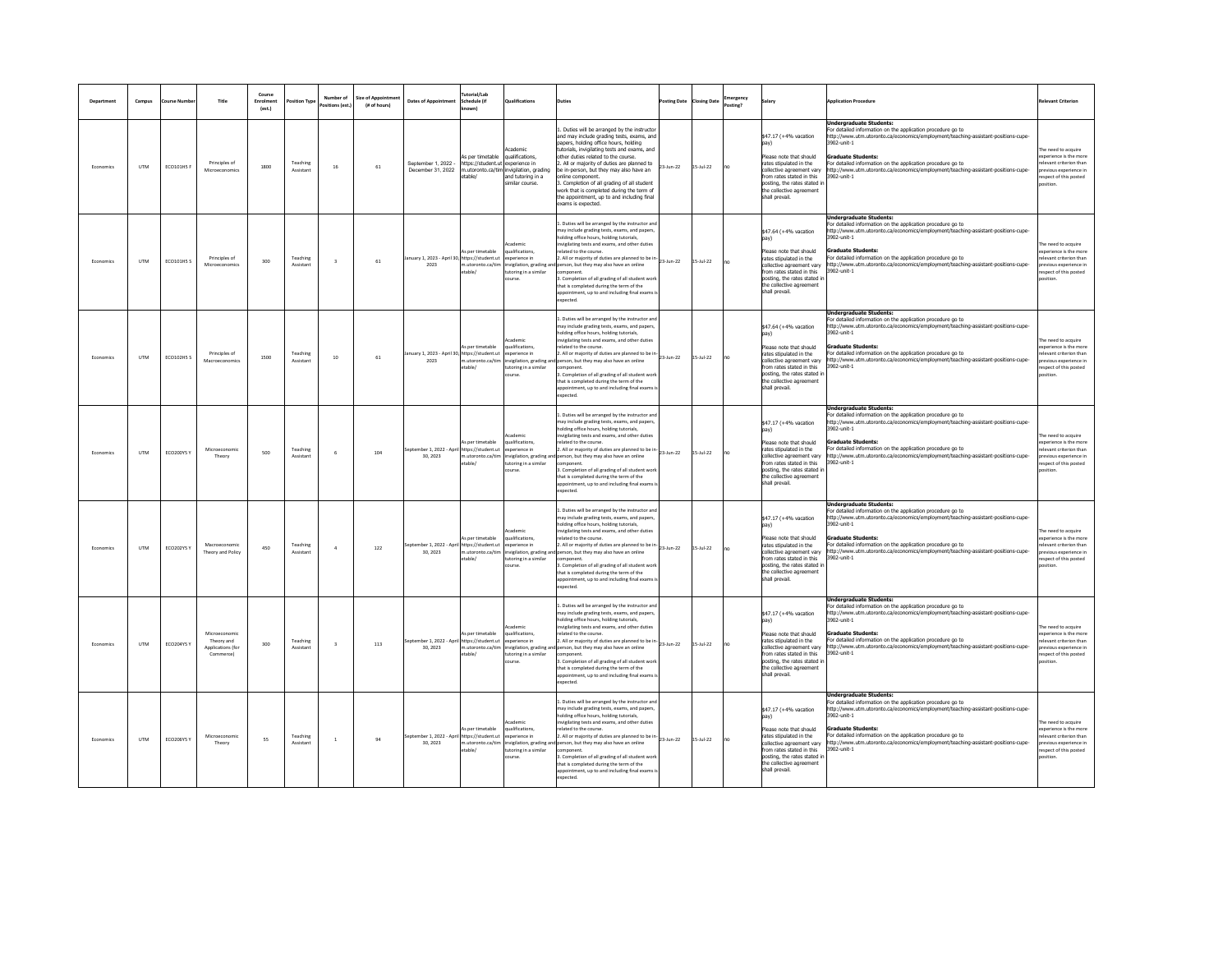|           | Campus       | nurse N           | Title                                                       | Course<br>Enrolmen<br>(est.) | osition Typ           | Number of<br>ositions (est.) | <b>Size of Appointmer</b><br>(# of hours) | <b>Dates of Appoint</b>                                  | utorial/Lab<br>chedule fif                                             | Qualifications                                                                                                                       |                                                                                                                                                                                                                                                                                                                                                                                                                                                                                                      | sting Date      | <b>Closing Date</b> | nergency<br>tine? |                                                                                                                                                                                                                             | pplication Procedur                                                                                                                                                                                                                                                                                                                                                                                | nt Criterio                                                                                                                     |
|-----------|--------------|-------------------|-------------------------------------------------------------|------------------------------|-----------------------|------------------------------|-------------------------------------------|----------------------------------------------------------|------------------------------------------------------------------------|--------------------------------------------------------------------------------------------------------------------------------------|------------------------------------------------------------------------------------------------------------------------------------------------------------------------------------------------------------------------------------------------------------------------------------------------------------------------------------------------------------------------------------------------------------------------------------------------------------------------------------------------------|-----------------|---------------------|-------------------|-----------------------------------------------------------------------------------------------------------------------------------------------------------------------------------------------------------------------------|----------------------------------------------------------------------------------------------------------------------------------------------------------------------------------------------------------------------------------------------------------------------------------------------------------------------------------------------------------------------------------------------------|---------------------------------------------------------------------------------------------------------------------------------|
| Economics | <b>UTM</b>   | ECO101HS F        | Principles of<br>Microecon                                  | 1800                         | Teaching<br>Assistant | 16                           | 61                                        | September 1, 2022 -<br>December 31, 2022                 | As per timetable<br>https://student.ut experience in<br>table.         | Academic<br>qualifications,<br>n.utoronto.ca/tim invigilation, grading<br>and tutoring in a<br>similar course.                       | Duties will be arranged by the instructor<br>and may include grading tests, exams, and<br>paners, holding office hours, holding<br>tutorials, invigilating tests and exams, and<br>ther duties related to the course.<br>All or majority of duties are planned to<br>e in-person, but they may also have an<br>nline component.<br>. Completion of all grading of all student<br>ork that is completed during the term of<br>the appointment, up to and including final<br>xams is expected.         | 23-Jun-22       | 15-Jul-22           |                   | \$47.17 (+4% vacation<br>nav)<br>Please note that should<br>rates stipulated in the<br>ollective agreement van<br>from rates stated in this<br>posting, the rates stated i<br>the collective agreement<br>shall prevail.    | <b>Undergraduate Students:</b><br>For detailed information on the application procedure go to<br>http://www.utm.utoronto.ca/economics/employment/teaching-assistant-positions-cupe-<br>902-unit-1<br><b>Graduate Students:</b><br>For detailed information on the application procedure go to<br>tp://www.utm.utoronto.ca/economics/employment/teaching-assistant-positions-cupe-<br>902-unit-1    | e need to acquire<br>coerience is the more<br>evant criterion than<br>vious experience in<br>spect of this posted               |
| Economic  | <b>UTM</b>   | ECO101HS S        | Principles of<br>Microeconomics                             | 300                          | Teaching<br>Assistant | $\overline{\mathbf{3}}$      | 61                                        | anuary 1. 2023 - April 30. https://student.ut<br>2023    | As per timetable<br>n.utoronto.ca/tim<br>able/                         | Academic<br>qualifications.<br>xperience in<br>invigilation, grading ar<br>utoring in a similar<br>ourse.                            | Duties will be arranged by the instructor an<br>nay include grading tests, exams, and papers<br>olding office hours, holding tutorials.<br>vigilating tests and exams, and other duties<br>elated to the course.<br>. All or majority of duties are planned to be i<br>person, but they may also have an online<br>mponent<br>. Completion of all grading of all student work<br>hat is completed during the term of the<br>pointment, up to and including final exams<br>xpected.                   | 23-Jun-22       | 15-Jul-22           |                   | \$47.64 (+4% vacation<br>pay)<br>Please note that should<br>rates stipulated in the<br>collective agreement vary<br>from rates stated in this<br>posting, the rates stated in<br>the collective agreement<br>shall prevail. | Indergraduate Students:<br>For detailed information on the application procedure go to<br>ittp://www.utm.utoronto.ca/economics/employment/teaching-assistant-positions-cupe-<br>3902-unit-1<br><b>Graduate Students:</b><br>For detailed information on the application procedure go to<br>:tp://www.utm.utoronto.ca/economics/employment/teaching-assistant-positions-cupe-<br>902-unit-1         | he need to acquire<br>coerience is the more<br>levant criterion than<br>evious experience in<br>spect of this posted<br>sition. |
| Economics | <b>UTM</b>   | <b>ECO102HS S</b> | Principles of<br>Macro                                      | 1500                         | Teaching<br>Assistant | 10                           | 61                                        | anuary 1, 2023 - April 30, https://student.ut<br>2023    | As per timetable<br>utoronto.ca/tin<br>table/                          | Academic<br>qualifications.<br>experience in<br>.<br>wigilation, grading ar<br>toring in a similar<br>ourse.                         | . Duties will be arranged by the instructor and<br>nay include grading tests, exams, and papers,<br>olding office hours, holding tutorials,<br>vigilating tests and exams, and other duties<br>elated to the course.<br>All or majority of duties are planned to be in-<br>23-Jun-22<br>person, but they may also have an online<br>mponent<br>. Completion of all grading of all student worl<br>hat is completed during the term of the<br>pointment, up to and including final exams i<br>pected. |                 | $15 -$ Jul-22       |                   | \$47.64 (+4% vacation<br>pav)<br>Please note that should<br>rates stipulated in the<br>collective agreement vary<br>from rates stated in this<br>posting, the rates stated in<br>the collective agreement<br>shall prevail. | <b>Undergraduate Students:</b><br>For detailed information on the application procedure go to<br>http://www.utm.utoronto.ca/economics/employment/teaching-assistant-positions-cupe-<br>902-unit-1<br>aduate Students:<br>For detailed information on the application procedure go to<br>http://www.utm.utoronto.ca/economics/employment/teaching-assistant-positions-cupe-<br>3902-unit-1          | e need to acquire<br>sperience is the more<br>levant criterion than<br>vious experience in<br>spect of this posted              |
| Economics | <b>UTM</b>   | ECO200YS 1        | Microeconomic<br>Theory                                     | 500                          | Teaching<br>Assistant | $\overline{6}$               | 104                                       | September 1, 2022 - April https://student.ut<br>30 2023  | s per timetable<br>n.utoronto.ca/tim<br>table)                         | cademi<br>ualifications<br>experience in<br>tvigilation, grading an<br>tutoring in a similar<br>nurse                                | Duties will be arranged by the instructor an<br>nay include grading tests, exams, and papers,<br>olding office hours, holding tutorials,<br>vigilating tests and exams, and other duties<br>ated to the course<br>. All or majority of duties are planned to be in<br>erson, but they may also have an online<br>nmnnnent<br>. Completion of all grading of all student worl<br>hat is completed during the term of the<br>opointment, up to and including final exams<br>spected.                   | 23-Jun-22       | 5-Jul-22            |                   | \$47.17 (+4% vacation<br>naw<br>Please note that should<br>rates stipulated in the<br>collective agreement van<br>from rates stated in this<br>nosting, the rates stated i<br>the collective agreement<br>shall prevail.    | <b>Undergraduate Students:</b><br>For detailed information on the application procedure go to<br>http://www.utm.utoronto.ca/economics/employment/teaching-assistant-positions-cupe-<br>3902-unit-1<br><b>Graduate Students:</b><br>For detailed information on the application procedure go to<br>ittp://www.utm.utoronto.ca/economics/employment/teaching-assistant-positions-cupe-<br>902-unit-1 | need to acquire<br>perience is the more<br>evant criterion than<br>evinus experience in<br>spect of this posted<br>sition       |
| Economics | <b>LITAA</b> | FCO202YS V        | Macroeconomis<br>Theory and Policy                          | 450                          | Teaching<br>Assistant | $\overline{A}$               | 122                                       | September 1, 2022 - April https://student.ut<br>30, 2023 | As per timetable<br>table/                                             | <b>Academic</b><br>qualifications.<br>experience in<br>m.utoronto.ca/tim invigilation, grading an<br>utoring in a similar<br>course. | Duties will be arranged by the instructor an<br>ay include grading tests, exams, and papers<br>holding office hours, holding tutorials.<br>vigilating tests and exams, and other duties<br>elated to the course.<br>All or majority of duties are planned to be in<br>person, but they may also have an online<br>mponent<br>. Completion of all grading of all student wor<br>hat is completed during the term of the<br>spointment, up to and including final exams<br>cpected.                    | 23-Jun-22       | 15-Jul-22           |                   | \$47.17 (+4% vacation<br>Please note that should<br>rates stinulated in the<br>collective agreement vary<br>from rates stated in this<br>posting, the rates stated<br>the collective agreement<br>shall prevail.            | <b>Jndergraduate Students:</b><br>or detailed information on the application procedure go to<br>http://www.utm.utoronto.ca/economics/employment/teaching-assistant-positions-cupe-<br>3902-unit-1<br>aduate Students:<br>For detailed information on the application procedure go to<br>ttp://www.utm.utoronto.ca/economics/employment/teaching-assistant-positions-cupe-<br>3902-unit-1           | e need to acquire<br>coerience is the more<br>levant criterion than<br>evious experience in<br>spect of this posted<br>sition   |
| Economics | <b>UTM</b>   | ECO204YS Y        | Microeconomi<br>Theory and<br>Applications (fo<br>Commerce) | 300                          | Teaching<br>Assistant | $\overline{a}$               | 113                                       | September 1, 2022 - Apr<br>30, 2023                      | s per timetable<br>https://student.ut<br>utoronto.ca/tim<br>table/     | cademi<br>qualifications,<br>experience in<br>invigilation, grading an<br>toring in a similar<br>burse                               | Duties will be arranged by the instructor and<br>nav include grading tests, exams, and papers<br>olding office hours, holding tutorials.<br>vigilating tests and exams, and other duties<br>ated to the course<br>All or majority of duties are planned to be in<br>person, but they may also have an online<br>mponent<br>Completion of all grading of all student wor<br>hat is completed during the term of the<br>ppointment, up to and including final exams<br>merted                          | 23-Jun-22       | 15-Jul-22           |                   | \$47.17 (+4% vacation<br>pav)<br>Please note that should<br>rates stipulated in the<br>collective agreement vary<br>from rates stated in this<br>posting, the rates stated in<br>the collective agreement<br>shall prevail. | Undergraduate Students:<br>For detailed information on the application procedure go to<br>http://www.utm.utoronto.ca/economics/employment/teaching-assistant-positions-cupe-<br>902-unit-1<br>aduate Students:<br>For detailed information on the application procedure go to<br>http://www.utm.utoronto.ca/economics/employment/teaching-assistant-positions-cupe-<br>3902-unit-1                 | e need to acquire<br>operience is the more<br>evant criterion than<br>evious experience in<br>spect of this posted              |
| Economics | <b>UTM</b>   | ECO206YS Y        | Microecon<br>Theory                                         | 55                           | Teaching<br>Assistant | $\mathbf{1}$                 | 94                                        | September 1, 2022 - Apri<br>30.2023                      | s per timetable<br>I https://student.ut<br>n.utoronto.ca/tim<br>table) | cademic<br>qualifications.<br>experience in<br>vigilation, grading a<br>utoring in a similar<br>ourse.                               | Duties will be arranged by the instructor and<br>may include grading tests, exams, and papers,<br>olding office hours, holding tutorials,<br>vigilating tests and exams, and other duties<br>elated to the course<br>. All or majority of duties are planned to be i<br>erson, but they may also have an online<br>mnonent<br>. Completion of all grading of all student wor<br>hat is completed during the term of the<br>ppointment, up to and including final exams<br>mected.                    | $23 - Jun - 22$ | $5 -$ Jul $-22$     |                   | \$47.17 (+4% vacation<br>pay)<br>lease note that should<br>rates stipulated in the<br>collective agreement varv<br>from rates stated in this<br>posting, the rates stated i<br>the collective agreement<br>shall prevail    | <b>Undergraduate Students:</b><br>For detailed information on the application procedure go to<br>http://www.utm.utoronto.ca/economics/employment/teaching-assistant-positions-cupe-<br>3902-unit-1<br>raduate Students:<br>For detailed information on the application procedure go to<br>http://www.utm.utoronto.ca/economics/employment/teaching-assistant-positions-cupe-<br>902-unit-1         | e need to acquire<br>perience is the more<br>evant criterion than<br>evious experience in<br>spect of this posted<br>ition      |